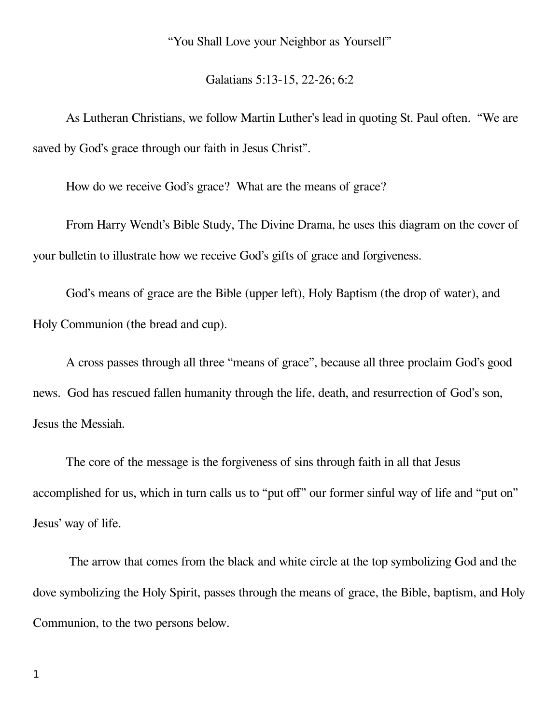"You Shall Love your Neighbor as Yourself"

Galatians 5:13-15, 22-26; 6:2

As Lutheran Christians, we follow Martin Luther's lead in quoting St. Paul often. "We are saved by God's grace through our faith in Jesus Christ".

How do we receive God's grace? What are the means of grace?

From Harry Wendt's Bible Study, The Divine Drama, he uses this diagram on the cover of your bulletin to illustrate how we receive God's gifts of grace and forgiveness.

God's means of grace are the Bible (upper left), Holy Baptism (the drop of water), and Holy Communion (the bread and cup).

A cross passes through all three "means of grace", because all three proclaim God's good news. God has rescued fallen humanity through the life, death, and resurrection of God's son, Jesus the Messiah.

The core of the message is the forgiveness of sins through faith in all that Jesus accomplished for us, which in turn calls us to "put off" our former sinful way of life and "put on" Jesus' way of life.

 The arrow that comes from the black and white circle at the top symbolizing God and the dove symbolizing the Holy Spirit, passes through the means of grace, the Bible, baptism, and Holy Communion, to the two persons below.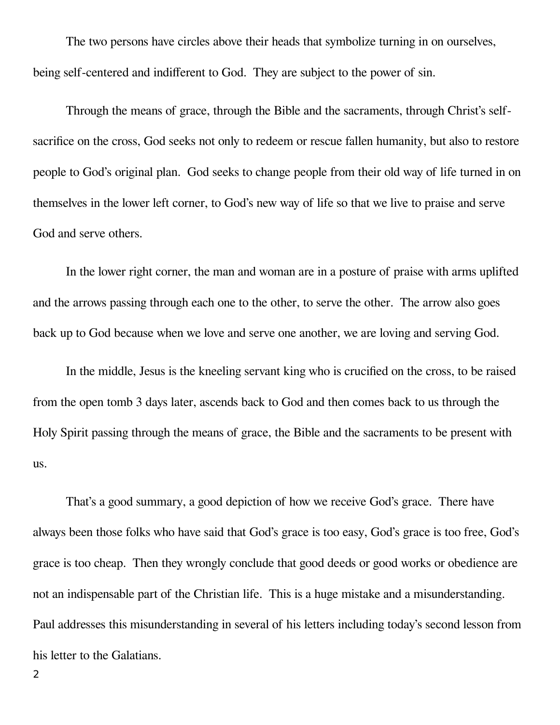The two persons have circles above their heads that symbolize turning in on ourselves, being self-centered and indifferent to God. They are subject to the power of sin.

Through the means of grace, through the Bible and the sacraments, through Christ's selfsacrifice on the cross, God seeks not only to redeem or rescue fallen humanity, but also to restore people to God's original plan. God seeks to change people from their old way of life turned in on themselves in the lower left corner, to God's new way of life so that we live to praise and serve God and serve others.

In the lower right corner, the man and woman are in a posture of praise with arms uplifted and the arrows passing through each one to the other, to serve the other. The arrow also goes back up to God because when we love and serve one another, we are loving and serving God.

In the middle, Jesus is the kneeling servant king who is crucified on the cross, to be raised from the open tomb 3 days later, ascends back to God and then comes back to us through the Holy Spirit passing through the means of grace, the Bible and the sacraments to be present with us.

That's a good summary, a good depiction of how we receive God's grace. There have always been those folks who have said that God's grace is too easy, God's grace is too free, God's grace is too cheap. Then they wrongly conclude that good deeds or good works or obedience are not an indispensable part of the Christian life. This is a huge mistake and a misunderstanding. Paul addresses this misunderstanding in several of his letters including today's second lesson from his letter to the Galatians.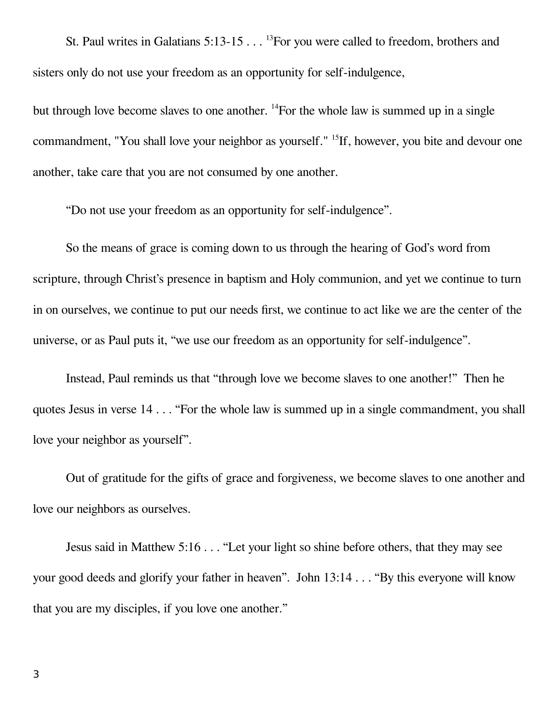St. Paul writes in Galatians 5:13-15 . . . <sup>13</sup>For you were called to freedom, brothers and sisters only do not use your freedom as an opportunity for self-indulgence,

but through love become slaves to one another. <sup>14</sup>For the whole law is summed up in a single commandment, "You shall love your neighbor as yourself." <sup>15</sup>If, however, you bite and devour one another, take care that you are not consumed by one another.

"Do not use your freedom as an opportunity for self-indulgence".

So the means of grace is coming down to us through the hearing of God's word from scripture, through Christ's presence in baptism and Holy communion, and yet we continue to turn in on ourselves, we continue to put our needs first, we continue to act like we are the center of the universe, or as Paul puts it, "we use our freedom as an opportunity for self-indulgence".

Instead, Paul reminds us that "through love we become slaves to one another!" Then he quotes Jesus in verse 14 . . . "For the whole law is summed up in a single commandment, you shall love your neighbor as yourself".

Out of gratitude for the gifts of grace and forgiveness, we become slaves to one another and love our neighbors as ourselves.

Jesus said in Matthew 5:16 . . . "Let your light so shine before others, that they may see your good deeds and glorify your father in heaven". John 13:14 . . . "By this everyone will know that you are my disciples, if you love one another."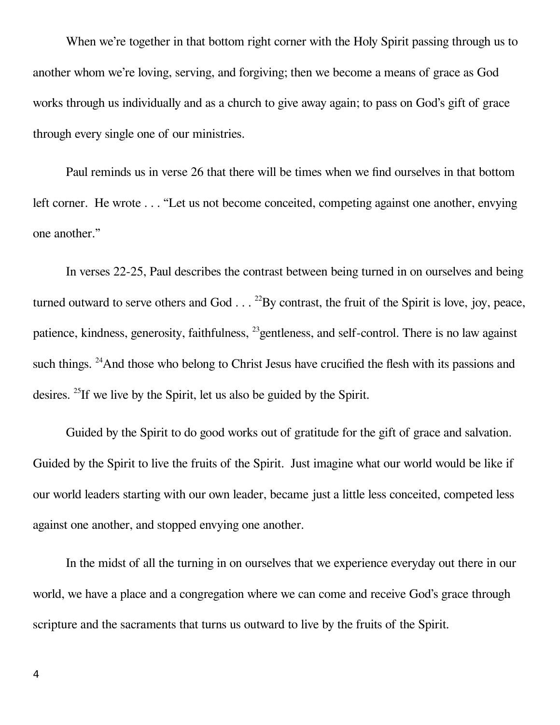When we're together in that bottom right corner with the Holy Spirit passing through us to another whom we're loving, serving, and forgiving; then we become a means of grace as God works through us individually and as a church to give away again; to pass on God's gift of grace through every single one of our ministries.

Paul reminds us in verse 26 that there will be times when we find ourselves in that bottom left corner. He wrote . . . "Let us not become conceited, competing against one another, envying one another."

In verses 22-25, Paul describes the contrast between being turned in on ourselves and being turned outward to serve others and God  $\ldots$ <sup>22</sup>By contrast, the fruit of the Spirit is love, joy, peace, patience, kindness, generosity, faithfulness, <sup>23</sup>gentleness, and self-control. There is no law against such things. <sup>24</sup>And those who belong to Christ Jesus have crucified the flesh with its passions and desires. <sup>25</sup>If we live by the Spirit, let us also be guided by the Spirit.

Guided by the Spirit to do good works out of gratitude for the gift of grace and salvation. Guided by the Spirit to live the fruits of the Spirit. Just imagine what our world would be like if our world leaders starting with our own leader, became just a little less conceited, competed less against one another, and stopped envying one another.

In the midst of all the turning in on ourselves that we experience everyday out there in our world, we have a place and a congregation where we can come and receive God's grace through scripture and the sacraments that turns us outward to live by the fruits of the Spirit.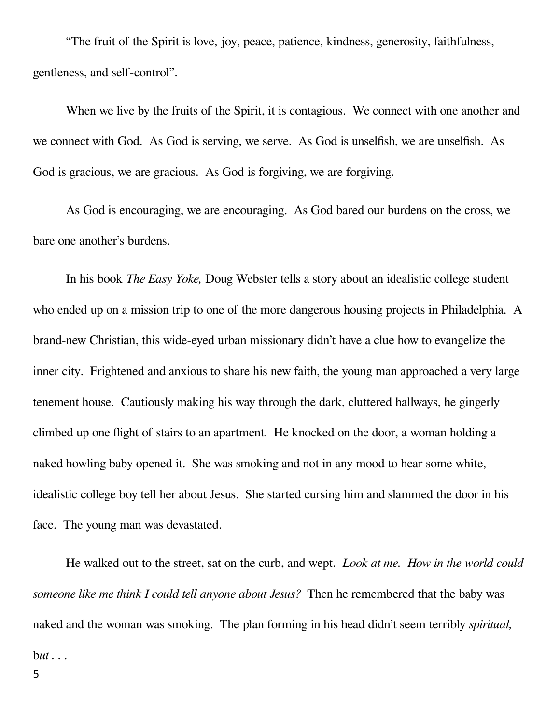"The fruit of the Spirit is love, joy, peace, patience, kindness, generosity, faithfulness, gentleness, and self-control".

When we live by the fruits of the Spirit, it is contagious. We connect with one another and we connect with God. As God is serving, we serve. As God is unselfish, we are unselfish. As God is gracious, we are gracious. As God is forgiving, we are forgiving.

As God is encouraging, we are encouraging. As God bared our burdens on the cross, we bare one another's burdens.

In his book *The Easy Yoke,* Doug Webster tells a story about an idealistic college student who ended up on a mission trip to one of the more dangerous housing projects in Philadelphia. A brand-new Christian, this wide-eyed urban missionary didn't have a clue how to evangelize the inner city. Frightened and anxious to share his new faith, the young man approached a very large tenement house. Cautiously making his way through the dark, cluttered hallways, he gingerly climbed up one flight of stairs to an apartment. He knocked on the door, a woman holding a naked howling baby opened it. She was smoking and not in any mood to hear some white, idealistic college boy tell her about Jesus. She started cursing him and slammed the door in his face. The young man was devastated.

He walked out to the street, sat on the curb, and wept. *Look at me. How in the world could someone like me think I could tell anyone about Jesus?* Then he remembered that the baby was naked and the woman was smoking. The plan forming in his head didn't seem terribly *spiritual,*  b*ut . . .*